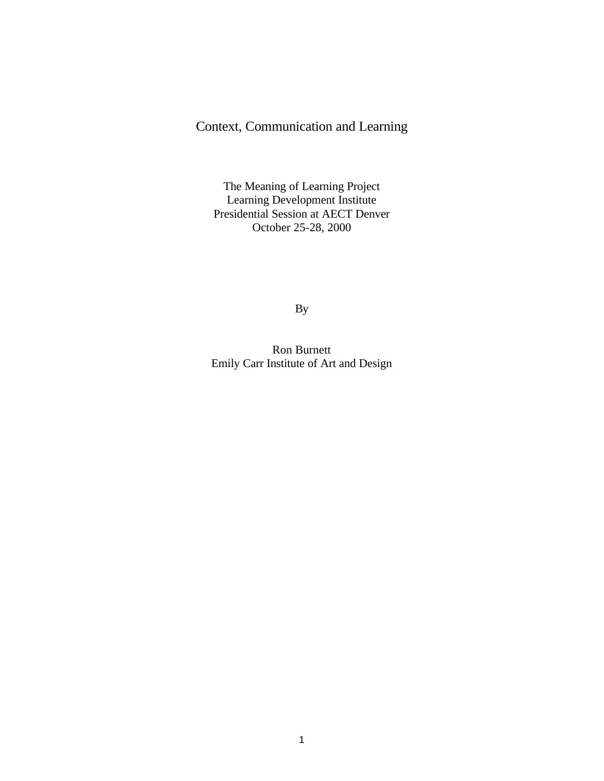## Context, Communication and Learning

The Meaning of Learning Project Learning Development Institute Presidential Session at AECT Denver October 25-28, 2000

By

Ron Burnett Emily Carr Institute of Art and Design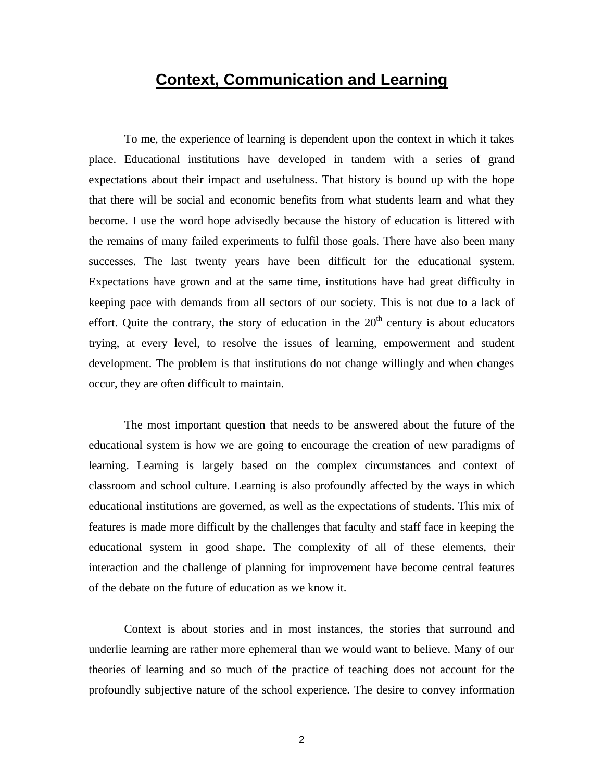## **Context, Communication and Learning**

To me, the experience of learning is dependent upon the context in which it takes place. Educational institutions have developed in tandem with a series of grand expectations about their impact and usefulness. That history is bound up with the hope that there will be social and economic benefits from what students learn and what they become. I use the word hope advisedly because the history of education is littered with the remains of many failed experiments to fulfil those goals. There have also been many successes. The last twenty years have been difficult for the educational system. Expectations have grown and at the same time, institutions have had great difficulty in keeping pace with demands from all sectors of our society. This is not due to a lack of effort. Quite the contrary, the story of education in the  $20<sup>th</sup>$  century is about educators trying, at every level, to resolve the issues of learning, empowerment and student development. The problem is that institutions do not change willingly and when changes occur, they are often difficult to maintain.

The most important question that needs to be answered about the future of the educational system is how we are going to encourage the creation of new paradigms of learning. Learning is largely based on the complex circumstances and context of classroom and school culture. Learning is also profoundly affected by the ways in which educational institutions are governed, as well as the expectations of students. This mix of features is made more difficult by the challenges that faculty and staff face in keeping the educational system in good shape. The complexity of all of these elements, their interaction and the challenge of planning for improvement have become central features of the debate on the future of education as we know it.

Context is about stories and in most instances, the stories that surround and underlie learning are rather more ephemeral than we would want to believe. Many of our theories of learning and so much of the practice of teaching does not account for the profoundly subjective nature of the school experience. The desire to convey information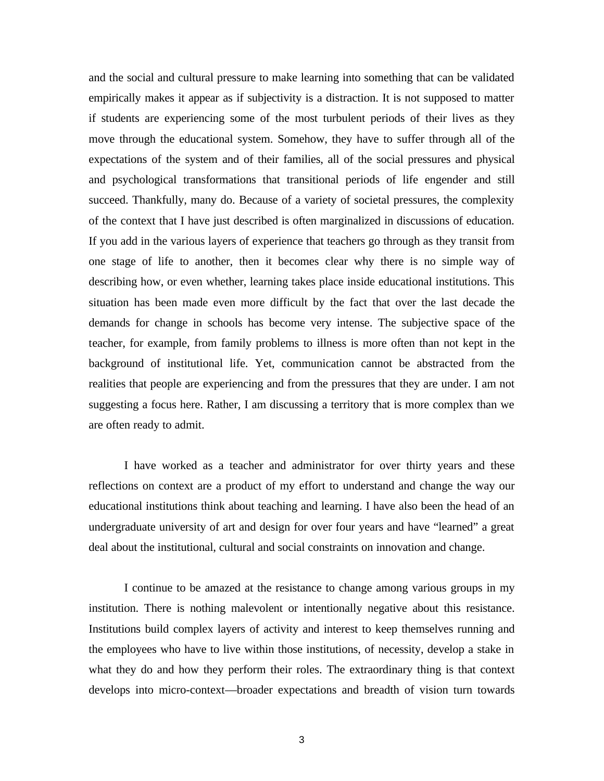and the social and cultural pressure to make learning into something that can be validated empirically makes it appear as if subjectivity is a distraction. It is not supposed to matter if students are experiencing some of the most turbulent periods of their lives as they move through the educational system. Somehow, they have to suffer through all of the expectations of the system and of their families, all of the social pressures and physical and psychological transformations that transitional periods of life engender and still succeed. Thankfully, many do. Because of a variety of societal pressures, the complexity of the context that I have just described is often marginalized in discussions of education. If you add in the various layers of experience that teachers go through as they transit from one stage of life to another, then it becomes clear why there is no simple way of describing how, or even whether, learning takes place inside educational institutions. This situation has been made even more difficult by the fact that over the last decade the demands for change in schools has become very intense. The subjective space of the teacher, for example, from family problems to illness is more often than not kept in the background of institutional life. Yet, communication cannot be abstracted from the realities that people are experiencing and from the pressures that they are under. I am not suggesting a focus here. Rather, I am discussing a territory that is more complex than we are often ready to admit.

I have worked as a teacher and administrator for over thirty years and these reflections on context are a product of my effort to understand and change the way our educational institutions think about teaching and learning. I have also been the head of an undergraduate university of art and design for over four years and have "learned" a great deal about the institutional, cultural and social constraints on innovation and change.

I continue to be amazed at the resistance to change among various groups in my institution. There is nothing malevolent or intentionally negative about this resistance. Institutions build complex layers of activity and interest to keep themselves running and the employees who have to live within those institutions, of necessity, develop a stake in what they do and how they perform their roles. The extraordinary thing is that context develops into micro-context—broader expectations and breadth of vision turn towards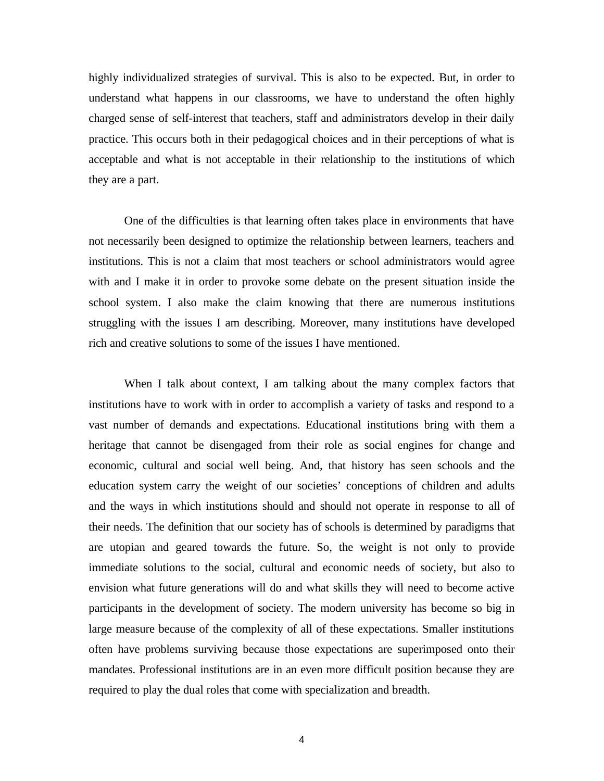highly individualized strategies of survival. This is also to be expected. But, in order to understand what happens in our classrooms, we have to understand the often highly charged sense of self-interest that teachers, staff and administrators develop in their daily practice. This occurs both in their pedagogical choices and in their perceptions of what is acceptable and what is not acceptable in their relationship to the institutions of which they are a part.

One of the difficulties is that learning often takes place in environments that have not necessarily been designed to optimize the relationship between learners, teachers and institutions. This is not a claim that most teachers or school administrators would agree with and I make it in order to provoke some debate on the present situation inside the school system. I also make the claim knowing that there are numerous institutions struggling with the issues I am describing. Moreover, many institutions have developed rich and creative solutions to some of the issues I have mentioned.

When I talk about context, I am talking about the many complex factors that institutions have to work with in order to accomplish a variety of tasks and respond to a vast number of demands and expectations. Educational institutions bring with them a heritage that cannot be disengaged from their role as social engines for change and economic, cultural and social well being. And, that history has seen schools and the education system carry the weight of our societies' conceptions of children and adults and the ways in which institutions should and should not operate in response to all of their needs. The definition that our society has of schools is determined by paradigms that are utopian and geared towards the future. So, the weight is not only to provide immediate solutions to the social, cultural and economic needs of society, but also to envision what future generations will do and what skills they will need to become active participants in the development of society. The modern university has become so big in large measure because of the complexity of all of these expectations. Smaller institutions often have problems surviving because those expectations are superimposed onto their mandates. Professional institutions are in an even more difficult position because they are required to play the dual roles that come with specialization and breadth.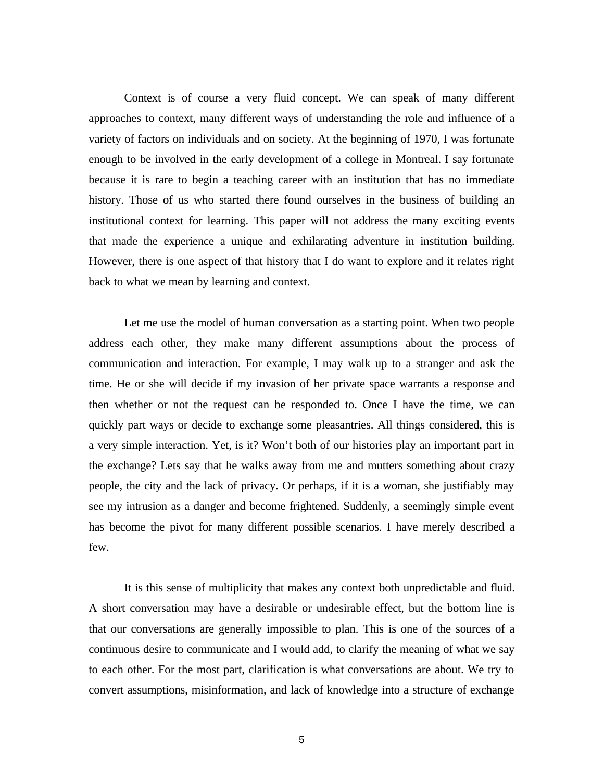Context is of course a very fluid concept. We can speak of many different approaches to context, many different ways of understanding the role and influence of a variety of factors on individuals and on society. At the beginning of 1970, I was fortunate enough to be involved in the early development of a college in Montreal. I say fortunate because it is rare to begin a teaching career with an institution that has no immediate history. Those of us who started there found ourselves in the business of building an institutional context for learning. This paper will not address the many exciting events that made the experience a unique and exhilarating adventure in institution building. However, there is one aspect of that history that I do want to explore and it relates right back to what we mean by learning and context.

Let me use the model of human conversation as a starting point. When two people address each other, they make many different assumptions about the process of communication and interaction. For example, I may walk up to a stranger and ask the time. He or she will decide if my invasion of her private space warrants a response and then whether or not the request can be responded to. Once I have the time, we can quickly part ways or decide to exchange some pleasantries. All things considered, this is a very simple interaction. Yet, is it? Won't both of our histories play an important part in the exchange? Lets say that he walks away from me and mutters something about crazy people, the city and the lack of privacy. Or perhaps, if it is a woman, she justifiably may see my intrusion as a danger and become frightened. Suddenly, a seemingly simple event has become the pivot for many different possible scenarios. I have merely described a few.

It is this sense of multiplicity that makes any context both unpredictable and fluid. A short conversation may have a desirable or undesirable effect, but the bottom line is that our conversations are generally impossible to plan. This is one of the sources of a continuous desire to communicate and I would add, to clarify the meaning of what we say to each other. For the most part, clarification is what conversations are about. We try to convert assumptions, misinformation, and lack of knowledge into a structure of exchange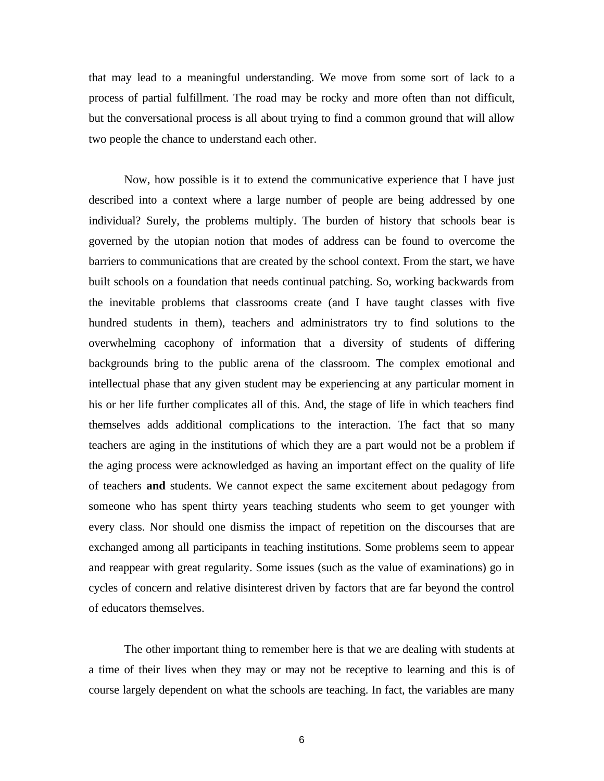that may lead to a meaningful understanding. We move from some sort of lack to a process of partial fulfillment. The road may be rocky and more often than not difficult, but the conversational process is all about trying to find a common ground that will allow two people the chance to understand each other.

Now, how possible is it to extend the communicative experience that I have just described into a context where a large number of people are being addressed by one individual? Surely, the problems multiply. The burden of history that schools bear is governed by the utopian notion that modes of address can be found to overcome the barriers to communications that are created by the school context. From the start, we have built schools on a foundation that needs continual patching. So, working backwards from the inevitable problems that classrooms create (and I have taught classes with five hundred students in them), teachers and administrators try to find solutions to the overwhelming cacophony of information that a diversity of students of differing backgrounds bring to the public arena of the classroom. The complex emotional and intellectual phase that any given student may be experiencing at any particular moment in his or her life further complicates all of this. And, the stage of life in which teachers find themselves adds additional complications to the interaction. The fact that so many teachers are aging in the institutions of which they are a part would not be a problem if the aging process were acknowledged as having an important effect on the quality of life of teachers **and** students. We cannot expect the same excitement about pedagogy from someone who has spent thirty years teaching students who seem to get younger with every class. Nor should one dismiss the impact of repetition on the discourses that are exchanged among all participants in teaching institutions. Some problems seem to appear and reappear with great regularity. Some issues (such as the value of examinations) go in cycles of concern and relative disinterest driven by factors that are far beyond the control of educators themselves.

The other important thing to remember here is that we are dealing with students at a time of their lives when they may or may not be receptive to learning and this is of course largely dependent on what the schools are teaching. In fact, the variables are many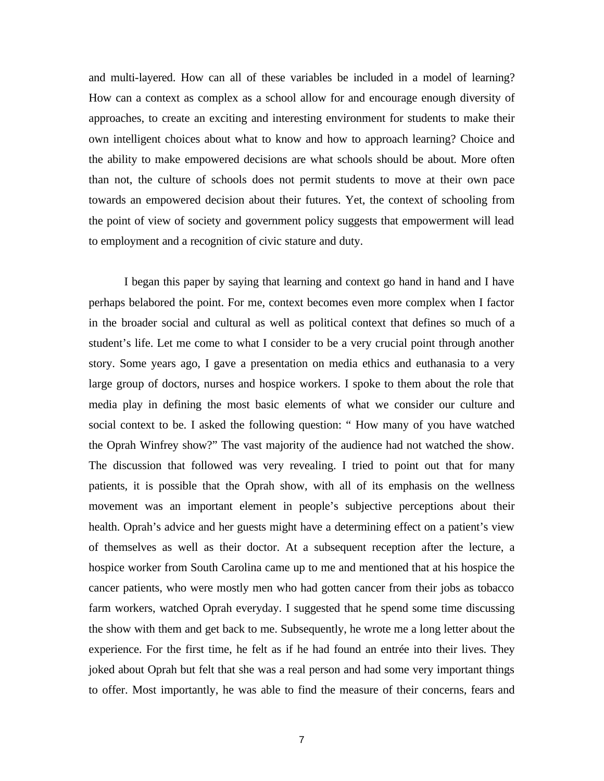and multi-layered. How can all of these variables be included in a model of learning? How can a context as complex as a school allow for and encourage enough diversity of approaches, to create an exciting and interesting environment for students to make their own intelligent choices about what to know and how to approach learning? Choice and the ability to make empowered decisions are what schools should be about. More often than not, the culture of schools does not permit students to move at their own pace towards an empowered decision about their futures. Yet, the context of schooling from the point of view of society and government policy suggests that empowerment will lead to employment and a recognition of civic stature and duty.

I began this paper by saying that learning and context go hand in hand and I have perhaps belabored the point. For me, context becomes even more complex when I factor in the broader social and cultural as well as political context that defines so much of a student's life. Let me come to what I consider to be a very crucial point through another story. Some years ago, I gave a presentation on media ethics and euthanasia to a very large group of doctors, nurses and hospice workers. I spoke to them about the role that media play in defining the most basic elements of what we consider our culture and social context to be. I asked the following question: " How many of you have watched the Oprah Winfrey show?" The vast majority of the audience had not watched the show. The discussion that followed was very revealing. I tried to point out that for many patients, it is possible that the Oprah show, with all of its emphasis on the wellness movement was an important element in people's subjective perceptions about their health. Oprah's advice and her guests might have a determining effect on a patient's view of themselves as well as their doctor. At a subsequent reception after the lecture, a hospice worker from South Carolina came up to me and mentioned that at his hospice the cancer patients, who were mostly men who had gotten cancer from their jobs as tobacco farm workers, watched Oprah everyday. I suggested that he spend some time discussing the show with them and get back to me. Subsequently, he wrote me a long letter about the experience. For the first time, he felt as if he had found an entrée into their lives. They joked about Oprah but felt that she was a real person and had some very important things to offer. Most importantly, he was able to find the measure of their concerns, fears and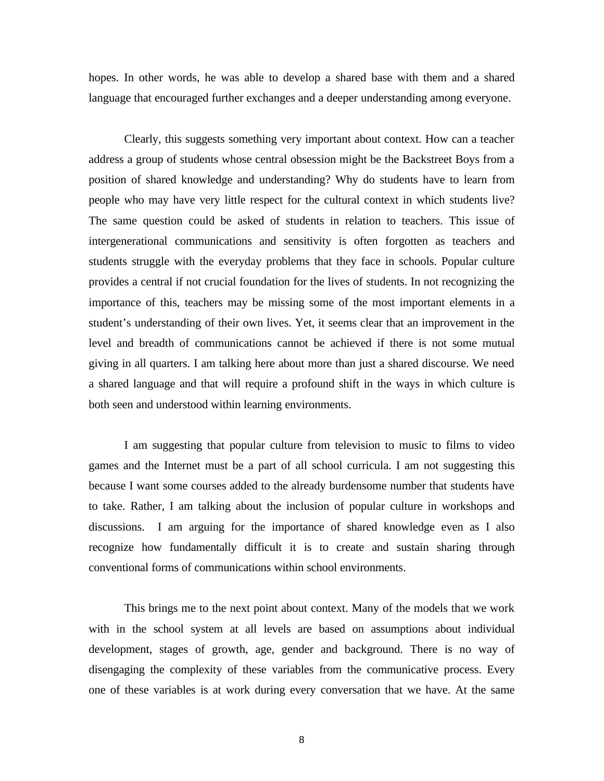hopes. In other words, he was able to develop a shared base with them and a shared language that encouraged further exchanges and a deeper understanding among everyone.

Clearly, this suggests something very important about context. How can a teacher address a group of students whose central obsession might be the Backstreet Boys from a position of shared knowledge and understanding? Why do students have to learn from people who may have very little respect for the cultural context in which students live? The same question could be asked of students in relation to teachers. This issue of intergenerational communications and sensitivity is often forgotten as teachers and students struggle with the everyday problems that they face in schools. Popular culture provides a central if not crucial foundation for the lives of students. In not recognizing the importance of this, teachers may be missing some of the most important elements in a student's understanding of their own lives. Yet, it seems clear that an improvement in the level and breadth of communications cannot be achieved if there is not some mutual giving in all quarters. I am talking here about more than just a shared discourse. We need a shared language and that will require a profound shift in the ways in which culture is both seen and understood within learning environments.

I am suggesting that popular culture from television to music to films to video games and the Internet must be a part of all school curricula. I am not suggesting this because I want some courses added to the already burdensome number that students have to take. Rather, I am talking about the inclusion of popular culture in workshops and discussions. I am arguing for the importance of shared knowledge even as I also recognize how fundamentally difficult it is to create and sustain sharing through conventional forms of communications within school environments.

This brings me to the next point about context. Many of the models that we work with in the school system at all levels are based on assumptions about individual development, stages of growth, age, gender and background. There is no way of disengaging the complexity of these variables from the communicative process. Every one of these variables is at work during every conversation that we have. At the same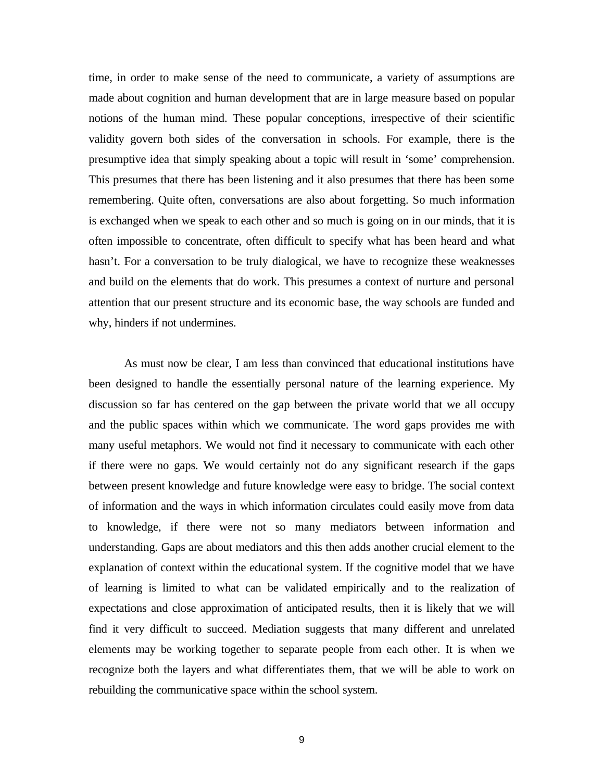time, in order to make sense of the need to communicate, a variety of assumptions are made about cognition and human development that are in large measure based on popular notions of the human mind. These popular conceptions, irrespective of their scientific validity govern both sides of the conversation in schools. For example, there is the presumptive idea that simply speaking about a topic will result in 'some' comprehension. This presumes that there has been listening and it also presumes that there has been some remembering. Quite often, conversations are also about forgetting. So much information is exchanged when we speak to each other and so much is going on in our minds, that it is often impossible to concentrate, often difficult to specify what has been heard and what hasn't. For a conversation to be truly dialogical, we have to recognize these weaknesses and build on the elements that do work. This presumes a context of nurture and personal attention that our present structure and its economic base, the way schools are funded and why, hinders if not undermines.

As must now be clear, I am less than convinced that educational institutions have been designed to handle the essentially personal nature of the learning experience. My discussion so far has centered on the gap between the private world that we all occupy and the public spaces within which we communicate. The word gaps provides me with many useful metaphors. We would not find it necessary to communicate with each other if there were no gaps. We would certainly not do any significant research if the gaps between present knowledge and future knowledge were easy to bridge. The social context of information and the ways in which information circulates could easily move from data to knowledge, if there were not so many mediators between information and understanding. Gaps are about mediators and this then adds another crucial element to the explanation of context within the educational system. If the cognitive model that we have of learning is limited to what can be validated empirically and to the realization of expectations and close approximation of anticipated results, then it is likely that we will find it very difficult to succeed. Mediation suggests that many different and unrelated elements may be working together to separate people from each other. It is when we recognize both the layers and what differentiates them, that we will be able to work on rebuilding the communicative space within the school system.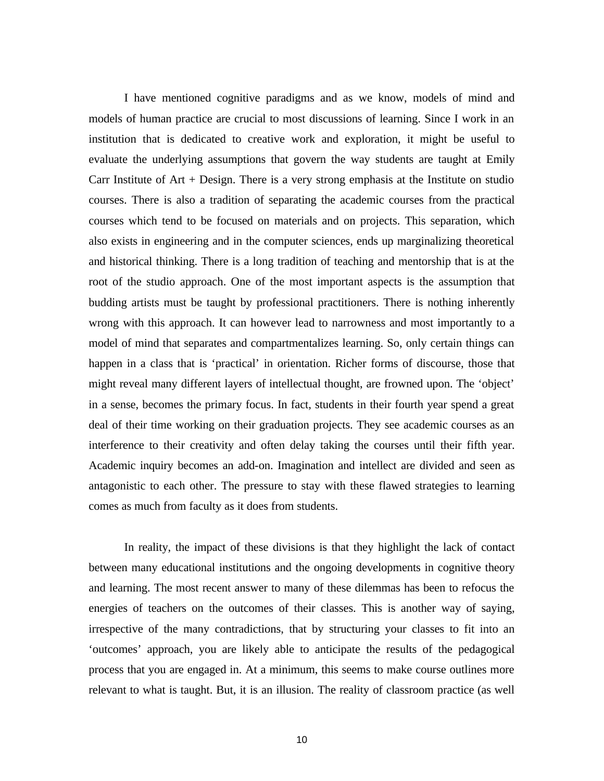I have mentioned cognitive paradigms and as we know, models of mind and models of human practice are crucial to most discussions of learning. Since I work in an institution that is dedicated to creative work and exploration, it might be useful to evaluate the underlying assumptions that govern the way students are taught at Emily Carr Institute of  $Art + Design$ . There is a very strong emphasis at the Institute on studio courses. There is also a tradition of separating the academic courses from the practical courses which tend to be focused on materials and on projects. This separation, which also exists in engineering and in the computer sciences, ends up marginalizing theoretical and historical thinking. There is a long tradition of teaching and mentorship that is at the root of the studio approach. One of the most important aspects is the assumption that budding artists must be taught by professional practitioners. There is nothing inherently wrong with this approach. It can however lead to narrowness and most importantly to a model of mind that separates and compartmentalizes learning. So, only certain things can happen in a class that is 'practical' in orientation. Richer forms of discourse, those that might reveal many different layers of intellectual thought, are frowned upon. The 'object' in a sense, becomes the primary focus. In fact, students in their fourth year spend a great deal of their time working on their graduation projects. They see academic courses as an interference to their creativity and often delay taking the courses until their fifth year. Academic inquiry becomes an add-on. Imagination and intellect are divided and seen as antagonistic to each other. The pressure to stay with these flawed strategies to learning comes as much from faculty as it does from students.

In reality, the impact of these divisions is that they highlight the lack of contact between many educational institutions and the ongoing developments in cognitive theory and learning. The most recent answer to many of these dilemmas has been to refocus the energies of teachers on the outcomes of their classes. This is another way of saying, irrespective of the many contradictions, that by structuring your classes to fit into an 'outcomes' approach, you are likely able to anticipate the results of the pedagogical process that you are engaged in. At a minimum, this seems to make course outlines more relevant to what is taught. But, it is an illusion. The reality of classroom practice (as well